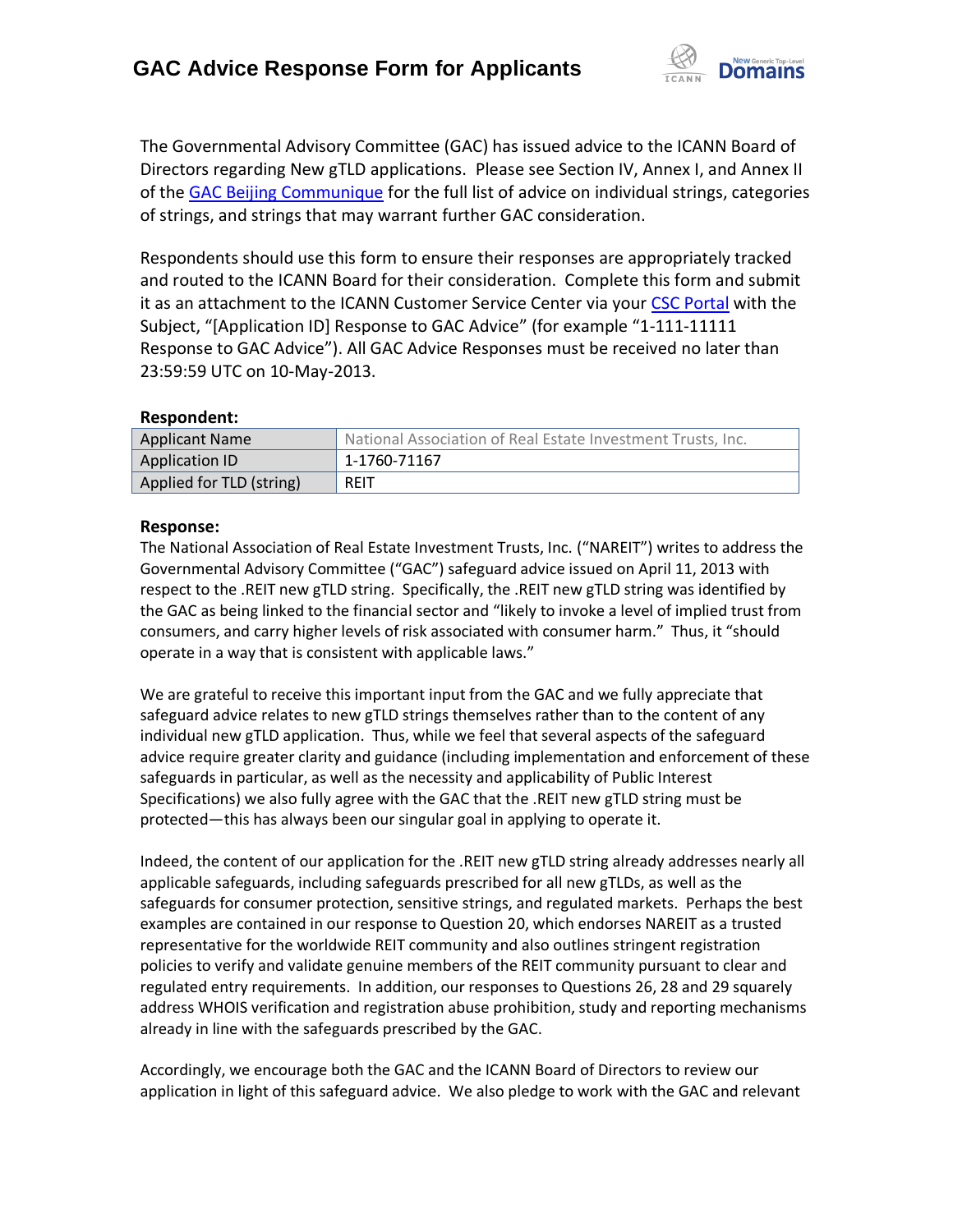

The Governmental Advisory Committee (GAC) has issued advice to the ICANN Board of Directors regarding New gTLD applications. Please see Section IV, Annex I, and Annex II of the [GAC Beijing Communique](http://www.icann.org/en/news/correspondence/gac-to-board-18apr13-en.pdf) for the full list of advice on individual strings, categories of strings, and strings that may warrant further GAC consideration.

Respondents should use this form to ensure their responses are appropriately tracked and routed to the ICANN Board for their consideration. Complete this form and submit it as an attachment to the ICANN Customer Service Center via your CSC [Portal](https://myicann.secure.force.com/) with the Subject, "[Application ID] Response to GAC Advice" (for example "1-111-11111 Response to GAC Advice"). All GAC Advice Responses must be received no later than 23:59:59 UTC on 10-May-2013.

## **Respondent:**

| <b>Applicant Name</b>    | National Association of Real Estate Investment Trusts, Inc. |
|--------------------------|-------------------------------------------------------------|
| Application ID           | 1-1760-71167                                                |
| Applied for TLD (string) | <b>REIT</b>                                                 |

## **Response:**

The National Association of Real Estate Investment Trusts, Inc. ("NAREIT") writes to address the Governmental Advisory Committee ("GAC") safeguard advice issued on April 11, 2013 with respect to the .REIT new gTLD string. Specifically, the .REIT new gTLD string was identified by the GAC as being linked to the financial sector and "likely to invoke a level of implied trust from consumers, and carry higher levels of risk associated with consumer harm." Thus, it "should operate in a way that is consistent with applicable laws."

We are grateful to receive this important input from the GAC and we fully appreciate that safeguard advice relates to new gTLD strings themselves rather than to the content of any individual new gTLD application. Thus, while we feel that several aspects of the safeguard advice require greater clarity and guidance (including implementation and enforcement of these safeguards in particular, as well as the necessity and applicability of Public Interest Specifications) we also fully agree with the GAC that the .REIT new gTLD string must be protected—this has always been our singular goal in applying to operate it.

Indeed, the content of our application for the .REIT new gTLD string already addresses nearly all applicable safeguards, including safeguards prescribed for all new gTLDs, as well as the safeguards for consumer protection, sensitive strings, and regulated markets. Perhaps the best examples are contained in our response to Question 20, which endorses NAREIT as a trusted representative for the worldwide REIT community and also outlines stringent registration policies to verify and validate genuine members of the REIT community pursuant to clear and regulated entry requirements. In addition, our responses to Questions 26, 28 and 29 squarely address WHOIS verification and registration abuse prohibition, study and reporting mechanisms already in line with the safeguards prescribed by the GAC.

Accordingly, we encourage both the GAC and the ICANN Board of Directors to review our application in light of this safeguard advice. We also pledge to work with the GAC and relevant